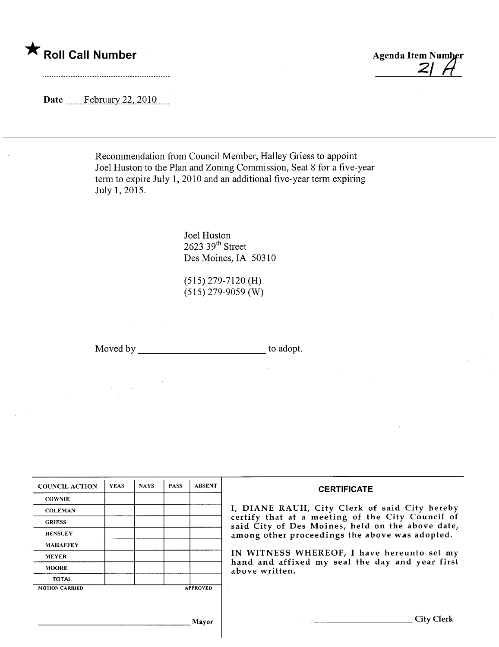$\star$  Roll Call Number Agenda Item Number Agenda Item Number

Date  $\frac{\text{February }22,2010}{\text{?}}$ 

Recommendation from Council Member, Halley Griess to appoint Joel Huston to the Plan and Zoning Commission, Seat 8 for a five-year term to expire July 1, 2010 and an additional five-year term expiring July 1, 2015.

> Joel Huston  $2623$  39<sup>th</sup> Street Des Moines, IA 50310

(515) 279-7120 (H) (515) 279-9059 (W)

Moved by to adopt.

| <b>COUNCIL ACTION</b> | <b>YEAS</b> | <b>NAYS</b> | <b>PASS</b> | <b>ABSENT</b>   | <b>CERTIFICATE</b>                                                                                                                                                                                                                                                                                                         |
|-----------------------|-------------|-------------|-------------|-----------------|----------------------------------------------------------------------------------------------------------------------------------------------------------------------------------------------------------------------------------------------------------------------------------------------------------------------------|
| <b>COWNIE</b>         |             |             |             |                 | I, DIANE RAUH, City Clerk of said City hereby<br>certify that at a meeting of the City Council of<br>said City of Des Moines, held on the above date,<br>among other proceedings the above was adopted.<br>IN WITNESS WHEREOF, I have hereunto set my<br>hand and affixed my seal the day and year first<br>above written. |
| <b>COLEMAN</b>        |             |             |             |                 |                                                                                                                                                                                                                                                                                                                            |
| <b>GRIESS</b>         |             |             |             |                 |                                                                                                                                                                                                                                                                                                                            |
| <b>HENSLEY</b>        |             |             |             |                 |                                                                                                                                                                                                                                                                                                                            |
| <b>MAHAFFEY</b>       |             |             |             |                 |                                                                                                                                                                                                                                                                                                                            |
| <b>MEYER</b>          |             |             |             |                 |                                                                                                                                                                                                                                                                                                                            |
| <b>MOORE</b>          |             |             |             |                 |                                                                                                                                                                                                                                                                                                                            |
| <b>TOTAL</b>          |             |             |             |                 |                                                                                                                                                                                                                                                                                                                            |
| <b>MOTION CARRIED</b> |             |             |             | <b>APPROVED</b> |                                                                                                                                                                                                                                                                                                                            |
|                       |             |             |             |                 |                                                                                                                                                                                                                                                                                                                            |
| Mayor                 |             |             |             |                 | City                                                                                                                                                                                                                                                                                                                       |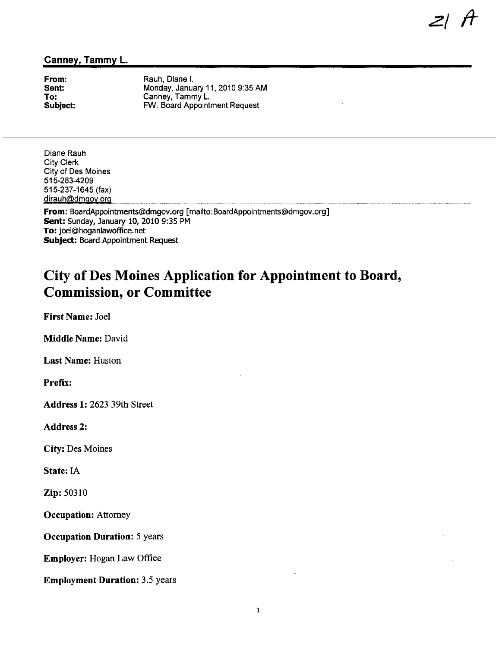### Canney, Tammy L.

From: Sent: To: Subject:

Rauh, Diane i. Monday, January 11, 2010 9:35 AM Canney, Tammy L. FW: Board Appointment Request

 $z$ / $A$ 

Diane Rauh City Clerk City of Des Moines 515-283-4209 515-237-1645 (fax) dirauh@dmgov.org

From: BoardAppointments@dmgov.org [mailto: BoardAppointments@dmgov.org] Sent: Sunday, January 10, 2010 9:35 PM To: joel@hoganlawoffice.net Subject: Board Appointment Request

# City of Des Moines Application for Appointment to Board, Commission, or Committee

First Name: Joel

Middle Name: David

Last Name: Huston

Prefix:

Address 1: 2623 39th Street

Address 2:

City: Des Moines

State: IA

Zip: 50310

Occupation: Attorney

Occupation Duration: 5 years

Employer: Hogan Law Office

Employment Duration: 3.5 years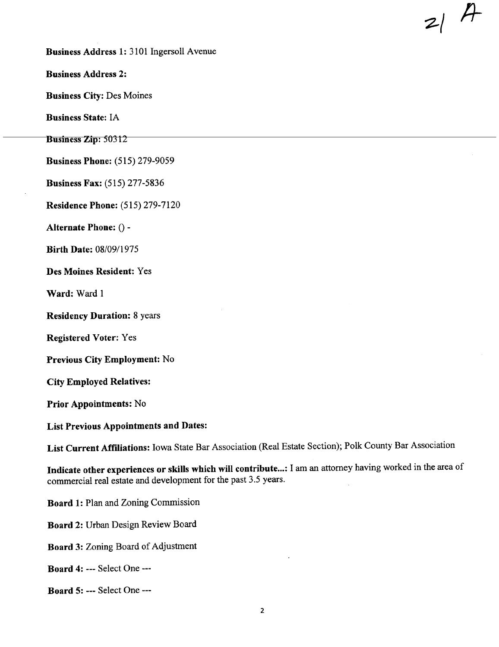Business Address 1: 3101 Ingersoll Avenue

Business Address 2:

Business City: Des Moines

Business State: IA

Business Zip: 50312

Business Phone: (515) 279-9059

Business Fax: (515) 277-5836

Residence Phone: (515) 279-7120

Alternate Phone: () -

Birth Date: 08/09/1975

Des Moines Resident: Yes

Ward: Ward 1

Residency Duration: 8 years

Registered Voter: Yes

Previous City Employment: No

City Employed Relatives:

Prior Appointments: No

List Previous Appointments and Dates:

List Current Affiliations: Iowa State Bar Association (Real Estate Section); Polk County Bar Association

 $21$   $A$ 

Indicate other experiences or skills which will contribute...: I am an attorney having worked in the area of commercial real estate and development for the past 3.5 years.

Board 1: Plan and Zoning Commission

Board 2: Urban Design Review Board

Board 3: Zoning Board of Adjustment

Board 4: --- Select One ---

Board 5: --- Select One ---